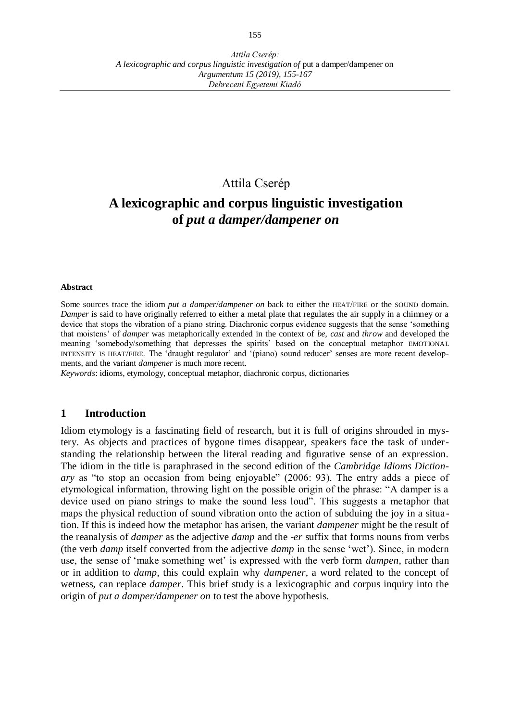# Attila Cserép

# **A lexicographic and corpus linguistic investigation of** *put a damper/dampener on*

#### **Abstract**

Some sources trace the idiom *put a damper*/*dampener on* back to either the HEAT/FIRE or the SOUND domain. *Damper* is said to have originally referred to either a metal plate that regulates the air supply in a chimney or a device that stops the vibration of a piano string. Diachronic corpus evidence suggests that the sense 'something that moistens' of *damper* was metaphorically extended in the context of *be*, *cast* and *throw* and developed the meaning 'somebody/something that depresses the spirits' based on the conceptual metaphor EMOTIONAL INTENSITY IS HEAT/FIRE. The 'draught regulator' and '(piano) sound reducer' senses are more recent developments, and the variant *dampener* is much more recent.

*Keywords*: idioms, etymology, conceptual metaphor, diachronic corpus, dictionaries

#### **1 Introduction**

Idiom etymology is a fascinating field of research, but it is full of origins shrouded in mystery. As objects and practices of bygone times disappear, speakers face the task of understanding the relationship between the literal reading and figurative sense of an expression. The idiom in the title is paraphrased in the second edition of the *Cambridge Idioms Dictionary* as "to stop an occasion from being enjoyable" (2006: 93). The entry adds a piece of etymological information, throwing light on the possible origin of the phrase: "A damper is a device used on piano strings to make the sound less loud". This suggests a metaphor that maps the physical reduction of sound vibration onto the action of subduing the joy in a situa tion. If this is indeed how the metaphor has arisen, the variant *dampener* might be the result of the reanalysis of *damper* as the adjective *damp* and the -*er* suffix that forms nouns from verbs (the verb *damp* itself converted from the adjective *damp* in the sense 'wet'). Since, in modern use, the sense of 'make something wet' is expressed with the verb form *dampen*, rather than or in addition to *damp*, this could explain why *dampener*, a word related to the concept of wetness, can replace *damper*. This brief study is a lexicographic and corpus inquiry into the origin of *put a damper/dampener on* to test the above hypothesis.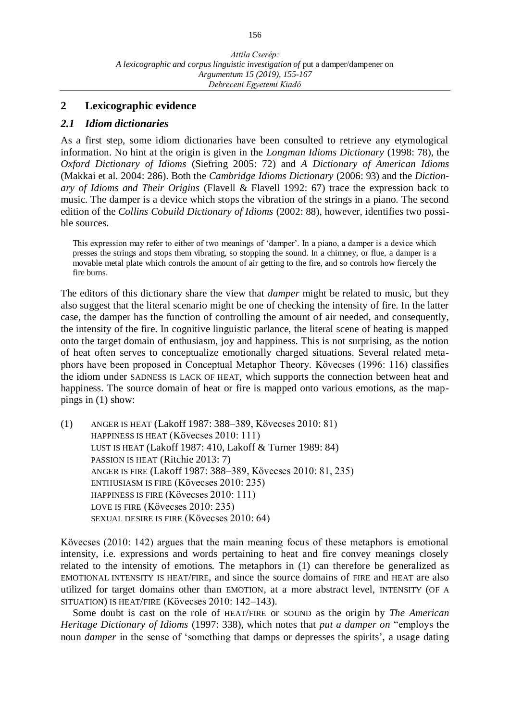#### **2 Lexicographic evidence**

#### *2.1 Idiom dictionaries*

As a first step, some idiom dictionaries have been consulted to retrieve any etymological information. No hint at the origin is given in the *Longman Idioms Dictionary* (1998: 78), the *Oxford Dictionary of Idioms* (Siefring 2005: 72) and *A Dictionary of American Idioms* (Makkai et al. 2004: 286). Both the *Cambridge Idioms Dictionary* (2006: 93) and the *Dictionary of Idioms and Their Origins* (Flavell & Flavell 1992: 67) trace the expression back to music. The damper is a device which stops the vibration of the strings in a piano. The second edition of the *Collins Cobuild Dictionary of Idioms* (2002: 88), however, identifies two possible sources.

This expression may refer to either of two meanings of 'damper'. In a piano, a damper is a device which presses the strings and stops them vibrating, so stopping the sound. In a chimney, or flue, a damper is a movable metal plate which controls the amount of air getting to the fire, and so controls how fiercely the fire burns.

The editors of this dictionary share the view that *damper* might be related to music, but they also suggest that the literal scenario might be one of checking the intensity of fire. In the latter case, the damper has the function of controlling the amount of air needed, and consequently, the intensity of the fire. In cognitive linguistic parlance, the literal scene of heating is mapped onto the target domain of enthusiasm, joy and happiness. This is not surprising, as the notion of heat often serves to conceptualize emotionally charged situations. Several related metaphors have been proposed in Conceptual Metaphor Theory. Kövecses (1996: 116) classifies the idiom under SADNESS IS LACK OF HEAT, which supports the connection between heat and happiness. The source domain of heat or fire is mapped onto various emotions, as the mappings in (1) show:

(1) ANGER IS HEAT (Lakoff 1987: 388–389, Kövecses 2010: 81) HAPPINESS IS HEAT (Kövecses 2010: 111) LUST IS HEAT (Lakoff 1987: 410, Lakoff & Turner 1989: 84) PASSION IS HEAT (Ritchie 2013: 7) ANGER IS FIRE (Lakoff 1987: 388–389, Kövecses 2010: 81, 235) ENTHUSIASM IS FIRE (Kövecses 2010: 235) HAPPINESS IS FIRE (Kövecses 2010: 111) LOVE IS FIRE (Kövecses 2010: 235) SEXUAL DESIRE IS FIRE (Kövecses 2010: 64)

Kövecses (2010: 142) argues that the main meaning focus of these metaphors is emotional intensity, i.e. expressions and words pertaining to heat and fire convey meanings closely related to the intensity of emotions. The metaphors in (1) can therefore be generalized as EMOTIONAL INTENSITY IS HEAT/FIRE, and since the source domains of FIRE and HEAT are also utilized for target domains other than EMOTION, at a more abstract level, INTENSITY (OF A SITUATION) IS HEAT/FIRE (Kövecses 2010: 142–143).

Some doubt is cast on the role of HEAT/FIRE or SOUND as the origin by *The American Heritage Dictionary of Idioms* (1997: 338), which notes that *put a damper on* "employs the noun *damper* in the sense of 'something that damps or depresses the spirits', a usage dating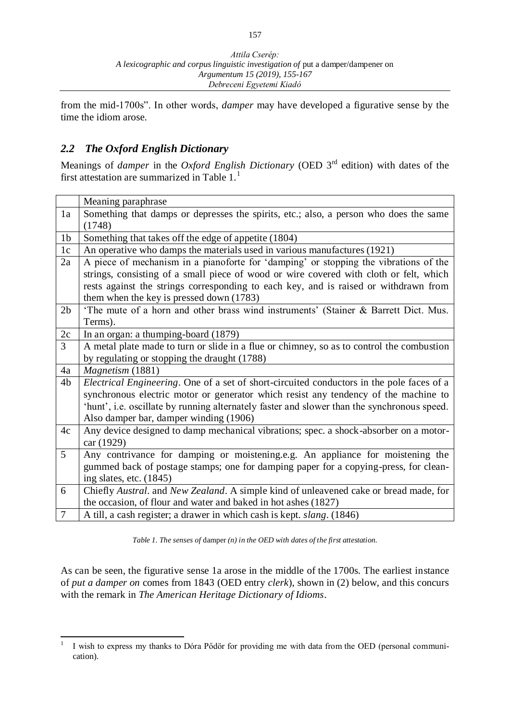from the mid-1700s". In other words, *damper* may have developed a figurative sense by the time the idiom arose.

### *2.2 The Oxford English Dictionary*

Meanings of *damper* in the *Oxford English Dictionary* (OED 3rd edition) with dates of the first attestation are summarized in Table 1.<sup>1</sup>

|                | Meaning paraphrase                                                                              |
|----------------|-------------------------------------------------------------------------------------------------|
| 1a             | Something that damps or depresses the spirits, etc.; also, a person who does the same<br>(1748) |
| 1 <sub>b</sub> | Something that takes off the edge of appetite (1804)                                            |
| 1c             | An operative who damps the materials used in various manufactures (1921)                        |
| 2a             | A piece of mechanism in a pianoforte for 'damping' or stopping the vibrations of the            |
|                | strings, consisting of a small piece of wood or wire covered with cloth or felt, which          |
|                | rests against the strings corresponding to each key, and is raised or withdrawn from            |
|                | them when the key is pressed down (1783)                                                        |
| 2 <sub>b</sub> | 'The mute of a horn and other brass wind instruments' (Stainer & Barrett Dict. Mus.             |
|                | Terms).                                                                                         |
| 2c             | In an organ: a thumping-board (1879)                                                            |
| 3              | A metal plate made to turn or slide in a flue or chimney, so as to control the combustion       |
|                | by regulating or stopping the draught (1788)                                                    |
| 4a             | Magnetism (1881)                                                                                |
| 4 <sub>b</sub> | Electrical Engineering. One of a set of short-circuited conductors in the pole faces of a       |
|                | synchronous electric motor or generator which resist any tendency of the machine to             |
|                | 'hunt', i.e. oscillate by running alternately faster and slower than the synchronous speed.     |
|                | Also damper bar, damper winding (1906)                                                          |
| 4c             | Any device designed to damp mechanical vibrations; spec. a shock-absorber on a motor-           |
|                | car (1929)                                                                                      |
| 5              | Any contrivance for damping or moistening.e.g. An appliance for moistening the                  |
|                | gummed back of postage stamps; one for damping paper for a copying-press, for clean-            |
|                | ing slates, etc. (1845)                                                                         |
| 6              | Chiefly Austral. and New Zealand. A simple kind of unleavened cake or bread made, for           |
|                | the occasion, of flour and water and baked in hot ashes (1827)                                  |
| $\tau$         | A till, a cash register; a drawer in which cash is kept. slang. (1846)                          |

*Table 1. The senses of* damper *(n) in the OED with dates of the first attestation.*

As can be seen, the figurative sense 1a arose in the middle of the 1700s. The earliest instance of *put a damper on* comes from 1843 (OED entry *clerk*), shown in (2) below, and this concurs with the remark in *The American Heritage Dictionary of Idioms*.

 $\frac{1}{1}$ I wish to express my thanks to Dóra Pődör for providing me with data from the OED (personal communication).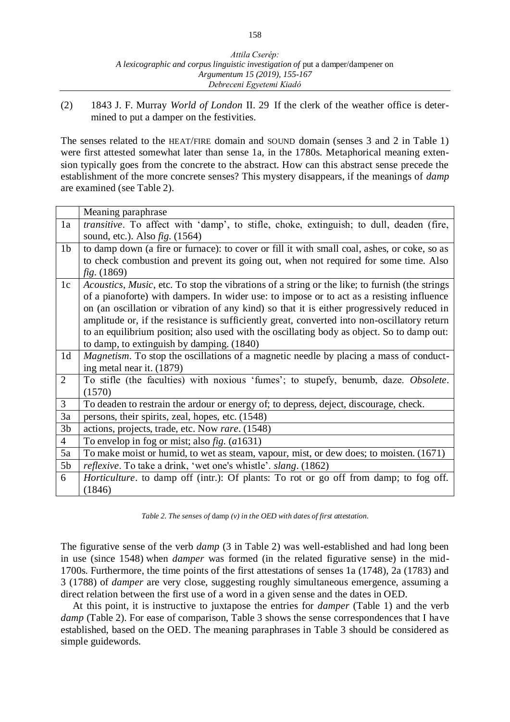(2) 1843 J. F. Murray *World of London* II. 29 If the clerk of the weather office is determined to put a damper on the festivities.

The senses related to the HEAT/FIRE domain and SOUND domain (senses 3 and 2 in Table 1) were first attested somewhat later than sense 1a, in the 1780s. Metaphorical meaning extension typically goes from the concrete to the abstract. How can this abstract sense precede the establishment of the more concrete senses? This mystery disappears, if the meanings of *damp* are examined (see Table 2).

|                | Meaning paraphrase                                                                              |
|----------------|-------------------------------------------------------------------------------------------------|
| 1a             | <i>transitive</i> . To affect with 'damp', to stifle, choke, extinguish; to dull, deaden (fire, |
|                | sound, etc.). Also $fig. (1564)$                                                                |
| 1 <sub>b</sub> | to damp down (a fire or furnace): to cover or fill it with small coal, ashes, or coke, so as    |
|                | to check combustion and prevent its going out, when not required for some time. Also            |
|                | fig. (1869)                                                                                     |
| 1c             | Acoustics, Music, etc. To stop the vibrations of a string or the like; to furnish (the strings  |
|                | of a pianoforte) with dampers. In wider use: to impose or to act as a resisting influence       |
|                | on (an oscillation or vibration of any kind) so that it is either progressively reduced in      |
|                | amplitude or, if the resistance is sufficiently great, converted into non-oscillatory return    |
|                | to an equilibrium position; also used with the oscillating body as object. So to damp out:      |
|                | to damp, to extinguish by damping. (1840)                                                       |
| 1 <sub>d</sub> | <i>Magnetism</i> . To stop the oscillations of a magnetic needle by placing a mass of conduct-  |
|                | ing metal near it. (1879)                                                                       |
| $\overline{2}$ | To stifle (the faculties) with noxious 'fumes'; to stupefy, benumb, daze. Obsolete.             |
|                | (1570)                                                                                          |
| 3              | To deaden to restrain the ardour or energy of; to depress, deject, discourage, check.           |
| 3a             | persons, their spirits, zeal, hopes, etc. (1548)                                                |
| 3 <sub>b</sub> | actions, projects, trade, etc. Now rare. (1548)                                                 |
| $\overline{4}$ | To envelop in fog or mist; also $fig. (a1631)$                                                  |
| 5a             | To make moist or humid, to wet as steam, vapour, mist, or dew does; to moisten. (1671)          |
| 5 <sub>b</sub> | <i>reflexive</i> . To take a drink, 'wet one's whistle'. <i>slang</i> . (1862)                  |
| 6              |                                                                                                 |
|                | <i>Horticulture</i> , to damp off (intr.): Of plants: To rot or go off from damp; to fog off.   |

*Table 2. The senses of* damp *(v) in the OED with dates of first attestation.*

The figurative sense of the verb *damp* (3 in Table 2) was well-established and had long been in use (since 1548) when *damper* was formed (in the related figurative sense) in the mid-1700s. Furthermore, the time points of the first attestations of senses 1a (1748), 2a (1783) and 3 (1788) of *damper* are very close, suggesting roughly simultaneous emergence, assuming a direct relation between the first use of a word in a given sense and the dates in OED.

At this point, it is instructive to juxtapose the entries for *damper* (Table 1) and the verb *damp* (Table 2). For ease of comparison, Table 3 shows the sense correspondences that I have established, based on the OED. The meaning paraphrases in Table 3 should be considered as simple guidewords.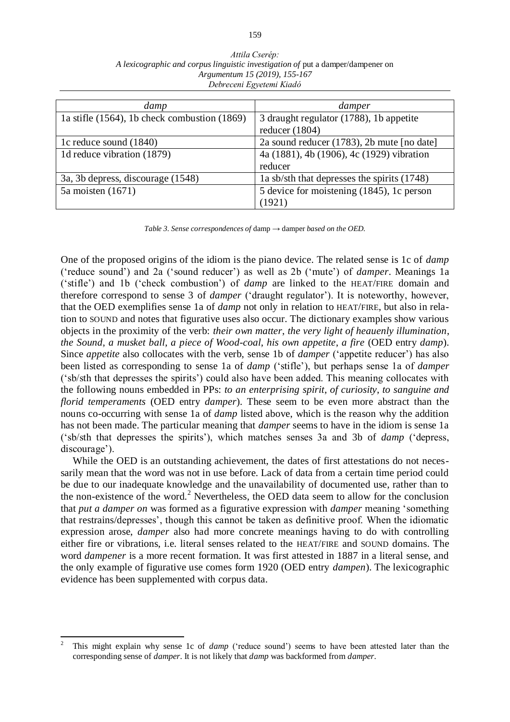| Attila Cserép:                                                                  |  |  |  |  |  |  |
|---------------------------------------------------------------------------------|--|--|--|--|--|--|
| A lexicographic and corpus linguistic investigation of put a damper/dampener on |  |  |  |  |  |  |
| Argumentum 15 (2019), 155-167                                                   |  |  |  |  |  |  |
| Debreceni Egyetemi Kiadó                                                        |  |  |  |  |  |  |

| damp                                              | damper                                      |
|---------------------------------------------------|---------------------------------------------|
| 1a stifle $(1564)$ , 1b check combustion $(1869)$ | 3 draught regulator (1788), 1b appetite     |
|                                                   | reducer $(1804)$                            |
| 1c reduce sound (1840)                            | 2a sound reducer (1783), 2b mute [no date]  |
| 1d reduce vibration (1879)                        | 4a (1881), 4b (1906), 4c (1929) vibration   |
|                                                   | reducer                                     |
| 3a, 3b depress, discourage (1548)                 | 1a sb/sth that depresses the spirits (1748) |
| $5a$ moisten $(1671)$                             | 5 device for moistening (1845), 1c person   |
|                                                   | (1921)                                      |

*Table 3. Sense correspondences of* damp *→* damper *based on the OED.*

One of the proposed origins of the idiom is the piano device. The related sense is 1c of *damp* ('reduce sound') and 2a ('sound reducer') as well as 2b ('mute') of *damper*. Meanings 1a ('stifle') and 1b ('check combustion') of *damp* are linked to the HEAT/FIRE domain and therefore correspond to sense 3 of *damper* ('draught regulator'). It is noteworthy, however, that the OED exemplifies sense 1a of *damp* not only in relation to HEAT/FIRE, but also in relation to SOUND and notes that figurative uses also occur. The dictionary examples show various objects in the proximity of the verb: *their own matter*, *the very light of heauenly illumination*, *the Sound*, *a musket ball*, *a piece of Wood-coal*, *his own appetite*, *a fire* (OED entry *damp*). Since *appetite* also collocates with the verb, sense 1b of *damper* ('appetite reducer') has also been listed as corresponding to sense 1a of *damp* ('stifle'), but perhaps sense 1a of *damper* ('sb/sth that depresses the spirits') could also have been added. This meaning collocates with the following nouns embedded in PPs: *to an enterprising spirit*, *of curiosity*, *to sanguine and florid temperaments* (OED entry *damper*). These seem to be even more abstract than the nouns co-occurring with sense 1a of *damp* listed above, which is the reason why the addition has not been made. The particular meaning that *damper* seems to have in the idiom is sense 1a ('sb/sth that depresses the spirits'), which matches senses 3a and 3b of *damp* ('depress, discourage').

While the OED is an outstanding achievement, the dates of first attestations do not necessarily mean that the word was not in use before. Lack of data from a certain time period could be due to our inadequate knowledge and the unavailability of documented use, rather than to the non-existence of the word.<sup>2</sup> Nevertheless, the OED data seem to allow for the conclusion that *put a damper on* was formed as a figurative expression with *damper* meaning 'something that restrains/depresses', though this cannot be taken as definitive proof. When the idiomatic expression arose, *damper* also had more concrete meanings having to do with controlling either fire or vibrations, i.e. literal senses related to the HEAT/FIRE and SOUND domains. The word *dampener* is a more recent formation. It was first attested in 1887 in a literal sense, and the only example of figurative use comes form 1920 (OED entry *dampen*). The lexicographic evidence has been supplemented with corpus data.

 $\overline{a}$ 

<sup>2</sup> This might explain why sense 1c of *damp* ('reduce sound') seems to have been attested later than the corresponding sense of *damper*. It is not likely that *damp* was backformed from *damper*.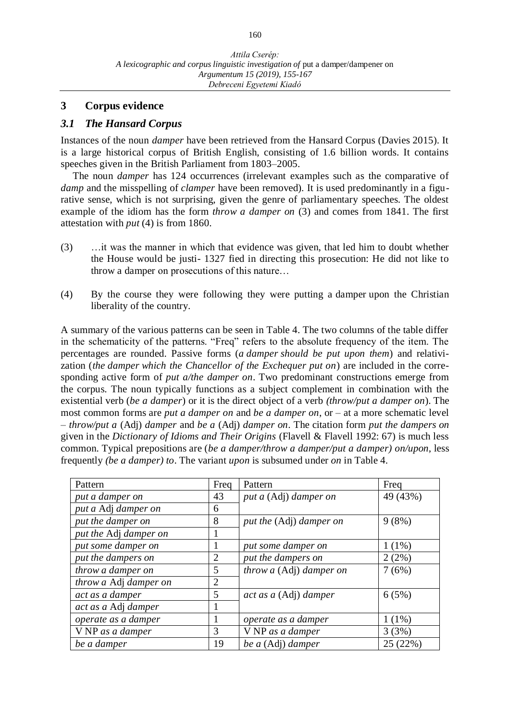#### **3 Corpus evidence**

#### *3.1 The Hansard Corpus*

Instances of the noun *damper* have been retrieved from the Hansard Corpus (Davies 2015). It is a large historical corpus of British English, consisting of 1.6 billion words. It contains speeches given in the [British Parliament](http://www.parliament.uk/) from 1803–2005.

The noun *damper* has 124 occurrences (irrelevant examples such as the comparative of *damp* and the misspelling of *clamper* have been removed). It is used predominantly in a figurative sense, which is not surprising, given the genre of parliamentary speeches. The oldest example of the idiom has the form *throw a damper on* (3) and comes from 1841. The first attestation with *put* (4) is from 1860.

- (3) …it was the manner in which that evidence was given, that led him to doubt whether the House would be justi- 1327 fied in directing this prosecution: He did not like to throw a damper on prosecutions of this nature…
- (4) By the course they were following they were putting a damper upon the Christian liberality of the country.

A summary of the various patterns can be seen in Table 4. The two columns of the table differ in the schematicity of the patterns. "Freq" refers to the absolute frequency of the item. The percentages are rounded. Passive forms (*a damper should be put upon them*) and relativization (*the damper which the Chancellor of the Exchequer put on*) are included in the corresponding active form of *put a/the damper on*. Two predominant constructions emerge from the corpus. The noun typically functions as a subject complement in combination with the existential verb (*be a damper*) or it is the direct object of a verb *(throw/put a damper on*). The most common forms are *put a damper on* and *be a damper on*, or – at a more schematic level – *throw/put a* (Adj) *damper* and *be a* (Adj) *damper on*. The citation form *put the dampers on* given in the *Dictionary of Idioms and Their Origins* (Flavell & Flavell 1992: 67) is much less common. Typical prepositions are (*be a damper/throw a damper/put a damper) on/upon*, less frequently *(be a damper) to*. The variant *upon* is subsumed under *on* in Table 4.

| Pattern               | Freq           | Pattern                 | Freq     |  |
|-----------------------|----------------|-------------------------|----------|--|
| put a damper on       | 43             | put a (Adj) damper on   | 49 (43%) |  |
| put a Adj damper on   | 6              |                         |          |  |
| put the damper on     | 8              | put the (Adj) damper on | 9(8%)    |  |
| put the Adj damper on |                |                         |          |  |
| put some damper on    |                | put some damper on      | $1(1\%)$ |  |
| put the dampers on    | $\overline{2}$ | put the dampers on      | 2(2%)    |  |
| throw a damper on     | 5              | throw a (Adj) damper on | 7(6%)    |  |
| throw a Adj damper on | $\overline{2}$ |                         |          |  |
| act as a damper       | 5              | act as a (Adj) damper   | 6(5%)    |  |
| act as a Adj damper   |                |                         |          |  |
| operate as a damper   |                | operate as a damper     | $1(1\%)$ |  |
| V NP as a damper      | 3              | V NP as a damper        | 3(3%)    |  |
| be a damper           | 19             | be a (Adj) damper       | 25(22%)  |  |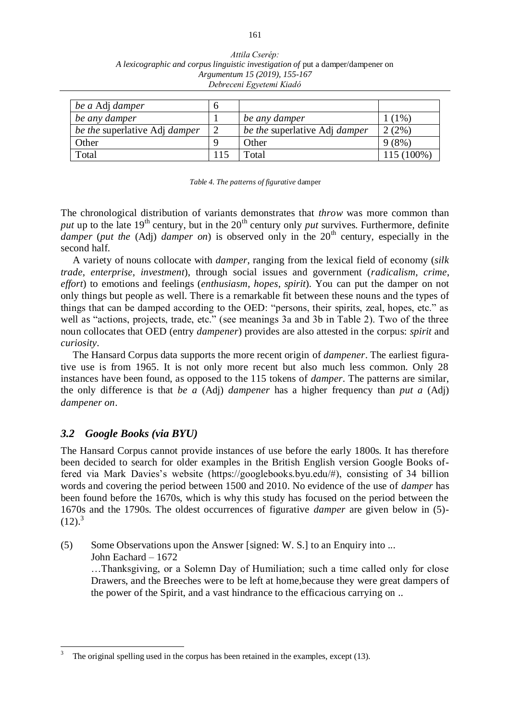| Attila Cserép:                                                                  |
|---------------------------------------------------------------------------------|
| A lexicographic and corpus linguistic investigation of put a damper/dampener on |
| Argumentum 15 (2019), 155-167                                                   |
| Debreceni Egyetemi Kiadó                                                        |

| be a Adj damper                      |                               |            |
|--------------------------------------|-------------------------------|------------|
| be any damper                        | be any damper                 | $(1\%)$    |
| be the superlative Adj <i>damper</i> | be the superlative Adj damper | $(2\%)$    |
| Other                                | Other                         | 9(8%)      |
| Total                                | Total                         | 115 (100%) |

*Table 4. The patterns of figurative* damper

The chronological distribution of variants demonstrates that *throw* was more common than *put* up to the late  $19<sup>th</sup>$  century, but in the  $20<sup>th</sup>$  century only *put* survives. Furthermore, definite *damper* (*put the* (Adj) *damper on*) is observed only in the 20<sup>th</sup> century, especially in the second half.

A variety of nouns collocate with *damper*, ranging from the lexical field of economy (*silk trade*, *enterprise*, *investment*), through social issues and government (*radicalism*, *crime*, *effort*) to emotions and feelings (*enthusiasm*, *hopes*, *spirit*). You can put the damper on not only things but people as well. There is a remarkable fit between these nouns and the types of things that can be damped according to the OED: "persons, their spirits, zeal, hopes, etc." as well as "actions, projects, trade, etc." (see meanings 3a and 3b in Table 2). Two of the three noun collocates that OED (entry *dampener*) provides are also attested in the corpus: *spirit* and *curiosity*.

The Hansard Corpus data supports the more recent origin of *dampener*. The earliest figurative use is from 1965. It is not only more recent but also much less common. Only 28 instances have been found, as opposed to the 115 tokens of *damper*. The patterns are similar, the only difference is that *be a* (Adj) *dampener* has a higher frequency than *put a* (Adj) *dampener on*.

# *3.2 Google Books (via BYU)*

The Hansard Corpus cannot provide instances of use before the early 1800s. It has therefore been decided to search for older examples in the British English version Google Books offered via Mark Davies's website (https://googlebooks.byu.edu/#), consisting of 34 billion words and covering the period between 1500 and 2010. No evidence of the use of *damper* has been found before the 1670s, which is why this study has focused on the period between the 1670s and the 1790s. The oldest occurrences of figurative *damper* are given below in (5)-  $(12).<sup>3</sup>$ 

(5) Some Observations upon the Answer [signed: W. S.] to an Enquiry into ... John Eachard – 1672 …Thanksgiving, or a Solemn Day of Humiliation; such a time called only for close Drawers, and the Breeches were to be left at home,because they were great dampers of the power of the Spirit, and a vast hindrance to the efficacious carrying on ..

 3 The original spelling used in the corpus has been retained in the examples, except (13).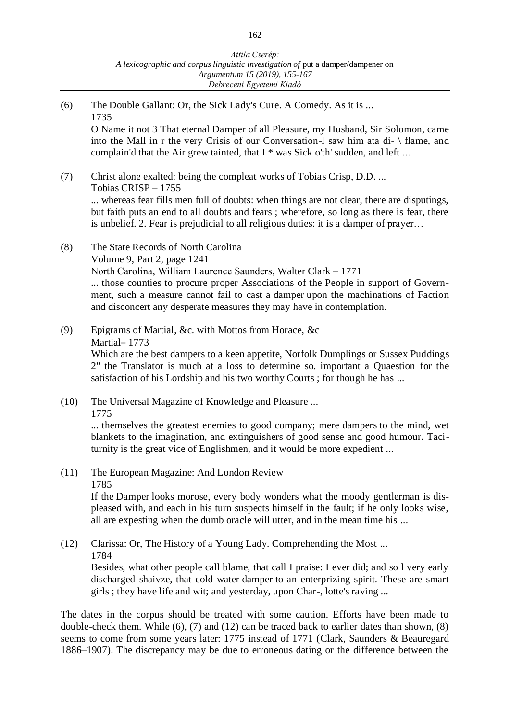(6) The Double Gallant: Or, the Sick Lady's Cure. A Comedy. As it is ... 1735 O Name it not 3 That eternal Damper of all Pleasure, my Husband, Sir Solomon, came into the Mall in r the very Crisis of our Conversation-l saw him ata di- \ flame, and complain'd that the Air grew tainted, that I \* was Sick o'th' sudden, and left ... (7) Christ alone exalted: being the compleat works of Tobias Crisp, D.D. ... Tobias CRISP – 1755 ... whereas fear fills men full of doubts: when things are not clear, there are disputings, but faith puts an end to all doubts and fears ; wherefore, so long as there is fear, there is unbelief. 2. Fear is prejudicial to all religious duties: it is a damper of prayer… (8) The State Records of North Carolina Volume 9, Part 2, page 1241 North Carolina, William Laurence Saunders, [Walter Clark](https://www.google.com/search?num=100&lr=lang_en&tbs=cdr:1,cd_min:1770,cd_max:1779,lr:lang_1en&tbm=bks&tbm=bks&q=inauthor:%22Walter+Clark%22&sa=X&ved=0ahUKEwjYqM-e5q_gAhUPtosKHf_rCGYQ9AgISzAE) – 1771 ... those counties to procure proper Associations of the People in support of Government, such a measure cannot fail to cast a damper upon the machinations of Faction and disconcert any desperate measures they may have in contemplation. (9) Epigrams of Martial, &c. with Mottos from Horace, &c Martial– 1773 Which are the best dampers to a keen appetite, Norfolk Dumplings or Sussex Puddings 2" the Translator is much at a loss to determine so. important a Quaestion for the satisfaction of his Lordship and his two worthy Courts ; for though he has ... (10) The Universal Magazine of Knowledge and Pleasure ... 1775 ... themselves the greatest enemies to good company; mere dampers to the mind, wet blankets to the imagination, and extinguishers of good sense and good humour. Taciturnity is the great vice of Englishmen, and it would be more expedient ... (11) The European Magazine: And London Review 1785 If the Damper looks morose, every body wonders what the moody gentlerman is displeased with, and each in his turn suspects himself in the fault; if he only looks wise, all are expesting when the dumb oracle will utter, and in the mean time his ... (12) Clarissa: Or, The History of a Young Lady. Comprehending the Most ... 1784 Besides, what other people call blame, that call I praise: I ever did; and so l very early discharged shaivze, that cold-water damper to an enterprizing spirit. These are smart girls ; they have life and wit; and yesterday, upon Char-, lotte's raving ...

The dates in the corpus should be treated with some caution. Efforts have been made to double-check them. While (6), (7) and (12) can be traced back to earlier dates than shown, (8) seems to come from some years later: 1775 instead of 1771 (Clark, Saunders & Beauregard 1886–1907). The discrepancy may be due to erroneous dating or the difference between the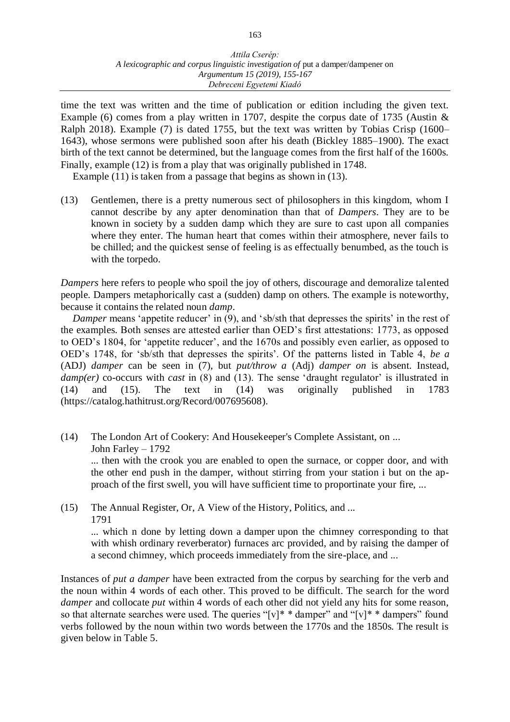time the text was written and the time of publication or edition including the given text. Example (6) comes from a play written in 1707, despite the corpus date of 1735 (Austin & Ralph 2018). Example (7) is dated 1755, but the text was written by Tobias Crisp (1600– 1643), whose sermons were published soon after his death (Bickley 1885–1900). The exact birth of the text cannot be determined, but the language comes from the first half of the 1600s. Finally, example (12) is from a play that was originally published in 1748.

Example (11) is taken from a passage that begins as shown in (13).

(13) Gentlemen, there is a pretty numerous sect of philosophers in this kingdom, whom I cannot describe by any apter denomination than that of *Dampers*. They are to be known in society by a sudden damp which they are sure to cast upon all companies where they enter. The human heart that comes within their atmosphere, never fails to be chilled; and the quickest sense of feeling is as effectually benumbed, as the touch is with the torpedo.

*Dampers* here refers to people who spoil the joy of others, discourage and demoralize talented people. Dampers metaphorically cast a (sudden) damp on others. The example is noteworthy, because it contains the related noun *damp*.

*Damper* means 'appetite reducer' in (9), and 'sb/sth that depresses the spirits' in the rest of the examples. Both senses are attested earlier than OED's first attestations: 1773, as opposed to OED's 1804, for 'appetite reducer', and the 1670s and possibly even earlier, as opposed to OED's 1748, for 'sb/sth that depresses the spirits'. Of the patterns listed in Table 4, *be a*  (ADJ) *damper* can be seen in (7), but *put/throw a* (Adj) *damper on* is absent. Instead, *damp(er)* co-occurs with *cast* in (8) and (13). The sense 'draught regulator' is illustrated in (14) and (15). The text in (14) was originally published in 1783 (https://catalog.hathitrust.org/Record/007695608).

(14) The London Art of Cookery: And Housekeeper's Complete Assistant, on ... John Farley – 1792 ... then with the crook you are enabled to open the surnace, or copper door, and with

the other end push in the damper, without stirring from your station i but on the approach of the first swell, you will have sufficient time to proportinate your fire, ...

(15) The Annual Register, Or, A View of the History, Politics, and ... 1791

... which n done by letting down a damper upon the chimney corresponding to that with whish ordinary reverberator) furnaces arc provided, and by raising the damper of a second chimney, which proceeds immediately from the sire-place, and ...

Instances of *put a damper* have been extracted from the corpus by searching for the verb and the noun within 4 words of each other. This proved to be difficult. The search for the word *damper* and collocate *put* within 4 words of each other did not yield any hits for some reason, so that alternate searches were used. The queries "[v]\* \* damper" and "[v]\* \* dampers" found verbs followed by the noun within two words between the 1770s and the 1850s. The result is given below in Table 5.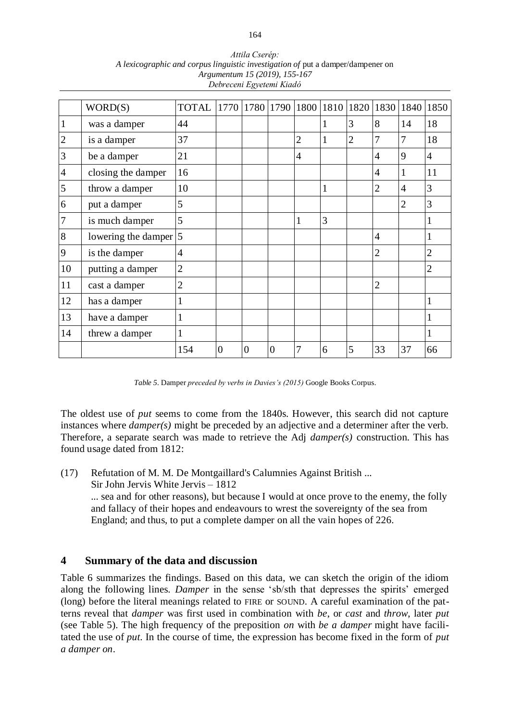| WORD(S)            | <b>TOTAL</b>   | 1770                     |          |                |                |              |                |                |                | 1840 1850      |
|--------------------|----------------|--------------------------|----------|----------------|----------------|--------------|----------------|----------------|----------------|----------------|
| was a damper       | 44             |                          |          |                |                | 1            | 3              | 8              | 14             | 18             |
| is a damper        | 37             |                          |          |                | $\overline{2}$ | 1            | $\overline{2}$ | 7              | 7              | 18             |
| be a damper        | 21             |                          |          |                | $\overline{4}$ |              |                | 4              | 9              | $\overline{4}$ |
| closing the damper | 16             |                          |          |                |                |              |                | 4              | 1              | 11             |
| throw a damper     | 10             |                          |          |                |                | $\mathbf{1}$ |                | $\overline{2}$ | $\overline{4}$ | 3              |
| put a damper       | 5              |                          |          |                |                |              |                |                | $\overline{2}$ | 3              |
| is much damper     | 5              |                          |          |                | 1              | 3            |                |                |                | $\mathbf{1}$   |
|                    |                |                          |          |                |                |              |                | $\overline{4}$ |                | 1              |
| is the damper      | 4              |                          |          |                |                |              |                | $\overline{2}$ |                | $\overline{2}$ |
| putting a damper   | $\overline{2}$ |                          |          |                |                |              |                |                |                | $\overline{2}$ |
| cast a damper      | $\overline{2}$ |                          |          |                |                |              |                | $\overline{2}$ |                |                |
| has a damper       | -1             |                          |          |                |                |              |                |                |                | $\mathbf{1}$   |
| have a damper      | 1              |                          |          |                |                |              |                |                |                | 1              |
| threw a damper     | 1              |                          |          |                |                |              |                |                |                | 1              |
|                    | 154            | $\theta$                 | $\theta$ | $\overline{0}$ | 7              | 6            | 5              | 33             | 37             | 66             |
|                    |                | lowering the damper $ 5$ |          |                |                | 1780   1790  | 1800           | 1810           | 1820           | 1830           |

*Attila Cserép: A lexicographic and corpus linguistic investigation of* put a damper/dampener on *Argumentum 15 (2019), 155-167 Debreceni Egyetemi Kiadó*

*Table 5.* Damper *preceded by verbs in Davies's (2015)* Google Books Corpus*.*

The oldest use of *put* seems to come from the 1840s. However, this search did not capture instances where *damper(s)* might be preceded by an adjective and a determiner after the verb. Therefore, a separate search was made to retrieve the Adj *damper(s)* construction. This has found usage dated from 1812:

(17) Refutation of M. M. De Montgaillard's Calumnies Against British ... Sir John Jervis White Jervis – 1812 ... sea and for other reasons), but because I would at once prove to the enemy, the folly and fallacy of their hopes and endeavours to wrest the sovereignty of the sea from England; and thus, to put a complete damper on all the vain hopes of 226.

#### **4 Summary of the data and discussion**

Table 6 summarizes the findings. Based on this data, we can sketch the origin of the idiom along the following lines. *Damper* in the sense 'sb/sth that depresses the spirits' emerged (long) before the literal meanings related to FIRE or SOUND. A careful examination of the patterns reveal that *damper* was first used in combination with *be*, or *cast* and *throw*, later *put*  (see Table 5). The high frequency of the preposition *on* with *be a damper* might have facilitated the use of *put*. In the course of time, the expression has become fixed in the form of *put a damper on*.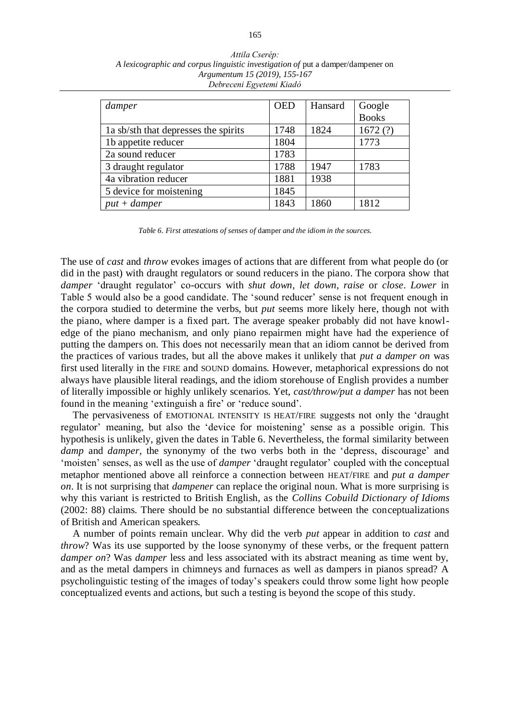| damper                               | <b>OED</b> | Hansard | Google       |  |
|--------------------------------------|------------|---------|--------------|--|
|                                      |            |         | <b>Books</b> |  |
| 1a sb/sth that depresses the spirits | 1748       | 1824    | 1672(?)      |  |
| 1b appetite reducer                  | 1804       |         | 1773         |  |
| 2a sound reducer                     | 1783       |         |              |  |
| 3 draught regulator                  | 1788       | 1947    | 1783         |  |
| 4a vibration reducer                 | 1881       | 1938    |              |  |
| 5 device for moistening              | 1845       |         |              |  |
| $put + damper$                       | 1843       | 1860    | 1812         |  |

*Attila Cserép: A lexicographic and corpus linguistic investigation of* put a damper/dampener on *Argumentum 15 (2019), 155-167 Debreceni Egyetemi Kiadó*

*Table 6. First attestations of senses of* damper *and the idiom in the sources.*

The use of *cast* and *throw* evokes images of actions that are different from what people do (or did in the past) with draught regulators or sound reducers in the piano. The corpora show that *damper* 'draught regulator' co-occurs with *shut down*, *let down*, *raise* or *close*. *Lower* in Table 5 would also be a good candidate. The 'sound reducer' sense is not frequent enough in the corpora studied to determine the verbs, but *put* seems more likely here, though not with the piano, where damper is a fixed part. The average speaker probably did not have knowledge of the piano mechanism, and only piano repairmen might have had the experience of putting the dampers on. This does not necessarily mean that an idiom cannot be derived from the practices of various trades, but all the above makes it unlikely that *put a damper on* was first used literally in the FIRE and SOUND domains. However, metaphorical expressions do not always have plausible literal readings, and the idiom storehouse of English provides a number of literally impossible or highly unlikely scenarios. Yet, *cast/throw/put a damper* has not been found in the meaning 'extinguish a fire' or 'reduce sound'.

The pervasiveness of EMOTIONAL INTENSITY IS HEAT/FIRE suggests not only the 'draught regulator' meaning, but also the 'device for moistening' sense as a possible origin. This hypothesis is unlikely, given the dates in Table 6. Nevertheless, the formal similarity between *damp* and *damper*, the synonymy of the two verbs both in the 'depress, discourage' and 'moisten' senses, as well as the use of *damper* 'draught regulator' coupled with the conceptual metaphor mentioned above all reinforce a connection between HEAT/FIRE and *put a damper on*. It is not surprising that *dampener* can replace the original noun. What is more surprising is why this variant is restricted to British English, as the *Collins Cobuild Dictionary of Idioms* (2002: 88) claims. There should be no substantial difference between the conceptualizations of British and American speakers.

A number of points remain unclear. Why did the verb *put* appear in addition to *cast* and *throw*? Was its use supported by the loose synonymy of these verbs, or the frequent pattern *damper on*? Was *damper* less and less associated with its abstract meaning as time went by, and as the metal dampers in chimneys and furnaces as well as dampers in pianos spread? A psycholinguistic testing of the images of today's speakers could throw some light how people conceptualized events and actions, but such a testing is beyond the scope of this study.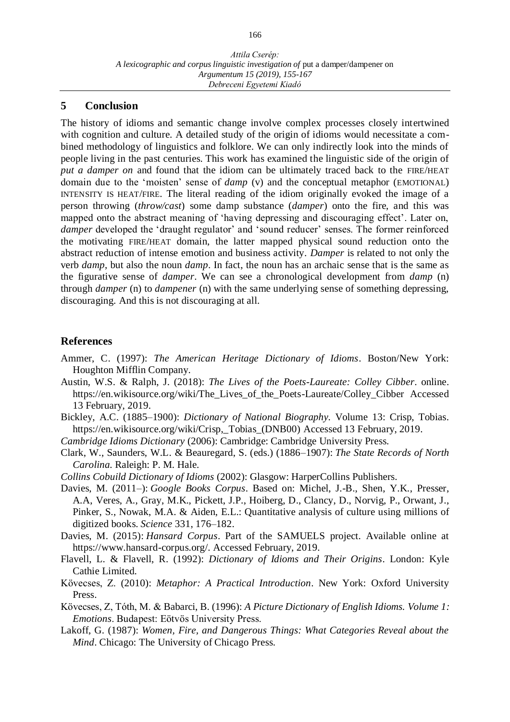#### **5 Conclusion**

The history of idioms and semantic change involve complex processes closely intertwined with cognition and culture. A detailed study of the origin of idioms would necessitate a combined methodology of linguistics and folklore. We can only indirectly look into the minds of people living in the past centuries. This work has examined the linguistic side of the origin of *put a damper on* and found that the idiom can be ultimately traced back to the FIRE/HEAT domain due to the 'moisten' sense of *damp* (v) and the conceptual metaphor (EMOTIONAL) INTENSITY IS HEAT/FIRE. The literal reading of the idiom originally evoked the image of a person throwing (*throw/cast*) some damp substance (*damper*) onto the fire, and this was mapped onto the abstract meaning of 'having depressing and discouraging effect'. Later on, *damper* developed the 'draught regulator' and 'sound reducer' senses. The former reinforced the motivating FIRE/HEAT domain, the latter mapped physical sound reduction onto the abstract reduction of intense emotion and business activity. *Damper* is related to not only the verb *damp*, but also the noun *damp*. In fact, the noun has an archaic sense that is the same as the figurative sense of *damper*. We can see a chronological development from *damp* (n) through *damper* (n) to *dampener* (n) with the same underlying sense of something depressing, discouraging. And this is not discouraging at all.

#### **References**

- Ammer, C. (1997): *The American Heritage Dictionary of Idioms*. Boston/New York: Houghton Mifflin Company.
- Austin, W.S. & Ralph, J. (2018): *The Lives of the Poets-Laureate: Colley Cibber*. online. https://en.wikisource.org/wiki/The\_Lives\_of\_the\_Poets-Laureate/Colley\_Cibber Accessed 13 February, 2019.
- Bickley, A.C. (1885–1900): *Dictionary of National Biography.* Volume 13: Crisp, Tobias. https://en.wikisource.org/wiki/Crisp,\_Tobias\_(DNB00) Accessed 13 February, 2019.
- *Cambridge Idioms Dictionary* (2006): Cambridge: Cambridge University Press.
- Clark, W., Saunders, W.L. & Beauregard, S. (eds.) (1886–1907): *The State Records of North Carolina.* Raleigh: P. M. Hale.
- *Collins Cobuild Dictionary of Idioms* (2002): Glasgow: HarperCollins Publishers.
- Davies, M. (2011–): *Google Books Corpus*. Based on: Michel, J.-B., Shen, Y.K., Presser, A.A, Veres, A., Gray, M.K., Pickett, J.P., Hoiberg, D., Clancy, D., Norvig, P., Orwant, J., Pinker, S., Nowak, M.A. & Aiden, E.L.: Quantitative analysis of culture using millions of digitized books. *Science* 331, 176–182.
- Davies, M. (2015): *Hansard Corpus*. Part of the SAMUELS project. Available online at https://www.hansard-corpus.org/. Accessed February, 2019.
- Flavell, L. & Flavell, R. (1992): *Dictionary of Idioms and Their Origins*. London: Kyle Cathie Limited.
- Kövecses, Z. (2010): *Metaphor: A Practical Introduction*. New York: Oxford University Press.
- Kövecses, Z, Tóth, M. & Babarci, B. (1996): *A Picture Dictionary of English Idioms. Volume 1: Emotions*. Budapest: Eötvös University Press.
- Lakoff, G. (1987): *Women, Fire, and Dangerous Things: What Categories Reveal about the Mind*. Chicago: The University of Chicago Press.